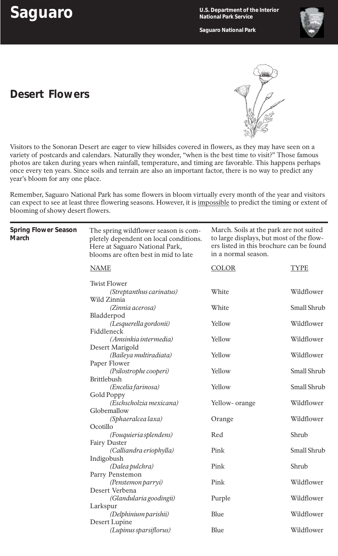**Saguaro U.S. Department of the Interior National Park Service**

**Saguaro National Park**



## **Desert Flowers**



Visitors to the Sonoran Desert are eager to view hillsides covered in flowers, as they may have seen on a variety of postcards and calendars. Naturally they wonder, "when is the best time to visit?" Those famous photos are taken during years when rainfall, temperature, and timing are favorable. This happens perhaps once every ten years. Since soils and terrain are also an important factor, there is no way to predict any year's bloom for any one place.

Remember, Saguaro National Park has some flowers in bloom virtually every month of the year and visitors can expect to see at least three flowering seasons. However, it is impossible to predict the timing or extent of blooming of showy desert flowers.

| <b>Spring Flower Season</b><br><b>March</b> | The spring wildflower season is com-<br>pletely dependent on local conditions.<br>Here at Saguaro National Park,<br>blooms are often best in mid to late | March. Soils at the park are not suited<br>to large displays, but most of the flow-<br>ers listed in this brochure can be found<br>in a normal season. |             |
|---------------------------------------------|----------------------------------------------------------------------------------------------------------------------------------------------------------|--------------------------------------------------------------------------------------------------------------------------------------------------------|-------------|
|                                             | <b>NAME</b>                                                                                                                                              | <b>COLOR</b>                                                                                                                                           | <b>TYPE</b> |
|                                             | <b>Twist Flower</b>                                                                                                                                      |                                                                                                                                                        |             |
|                                             | (Streptanthus carinatus)<br>Wild Zinnia                                                                                                                  | White                                                                                                                                                  | Wildflower  |
|                                             | (Zinnia acerosa)                                                                                                                                         | White                                                                                                                                                  | Small Shrub |
|                                             | Bladderpod                                                                                                                                               |                                                                                                                                                        |             |
|                                             | (Lesquerella gordonii)                                                                                                                                   | Yellow                                                                                                                                                 | Wildflower  |
|                                             | Fiddleneck<br>(Amsinkia intermedia)                                                                                                                      | Yellow                                                                                                                                                 | Wildflower  |
|                                             | Desert Marigold                                                                                                                                          |                                                                                                                                                        |             |
|                                             | (Baileya multiradiata)                                                                                                                                   | Yellow                                                                                                                                                 | Wildflower  |
|                                             | Paper Flower                                                                                                                                             |                                                                                                                                                        |             |
|                                             | (Psilostrophe cooperi)                                                                                                                                   | Yellow                                                                                                                                                 | Small Shrub |
|                                             | <b>Brittlebush</b>                                                                                                                                       |                                                                                                                                                        |             |
|                                             | (Encelia farinosa)                                                                                                                                       | Yellow                                                                                                                                                 | Small Shrub |
|                                             | <b>Gold Poppy</b><br>(Eschscholzia mexicana)                                                                                                             | Yellow- orange                                                                                                                                         | Wildflower  |
|                                             | Globemallow                                                                                                                                              |                                                                                                                                                        |             |
|                                             | (Sphaeralcea laxa)                                                                                                                                       | Orange                                                                                                                                                 | Wildflower  |
|                                             | Ocotillo                                                                                                                                                 |                                                                                                                                                        |             |
|                                             | (Fouquieria splendens)                                                                                                                                   | Red                                                                                                                                                    | Shrub       |
|                                             | <b>Fairy Duster</b>                                                                                                                                      |                                                                                                                                                        |             |
|                                             | (Calliandra eriophylla)                                                                                                                                  | Pink                                                                                                                                                   | Small Shrub |
|                                             | Indigobush                                                                                                                                               |                                                                                                                                                        |             |
|                                             | (Dalea pulchra)<br>Parry Penstemon                                                                                                                       | Pink                                                                                                                                                   | Shrub       |
|                                             | (Penstemon parryi)                                                                                                                                       | Pink                                                                                                                                                   | Wildflower  |
|                                             | Desert Verbena                                                                                                                                           |                                                                                                                                                        |             |
|                                             | (Glandularia goodingii)                                                                                                                                  | Purple                                                                                                                                                 | Wildflower  |
|                                             | Larkspur                                                                                                                                                 |                                                                                                                                                        |             |
|                                             | (Delphinium parishii)                                                                                                                                    | Blue                                                                                                                                                   | Wildflower  |
|                                             | Desert Lupine                                                                                                                                            |                                                                                                                                                        |             |
|                                             | (Lupinus sparsiflorus)                                                                                                                                   | Blue                                                                                                                                                   | Wildflower  |